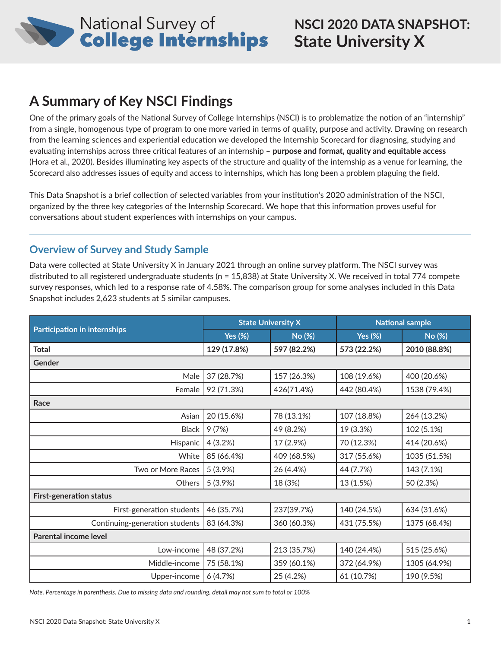

# **A Summary of Key NSCI Findings**

One of the primary goals of the National Survey of College Internships (NSCI) is to problematize the notion of an "internship" from a single, homogenous type of program to one more varied in terms of quality, purpose and activity. Drawing on research from the learning sciences and experiential education we developed the Internship Scorecard for diagnosing, studying and evaluating internships across three critical features of an internship – **purpose and format, quality and equitable access**  (Hora et al., 2020). Besides illuminating key aspects of the structure and quality of the internship as a venue for learning, the Scorecard also addresses issues of equity and access to internships, which has long been a problem plaguing the field.

This Data Snapshot is a brief collection of selected variables from your institution's 2020 administration of the NSCI, organized by the three key categories of the Internship Scorecard. We hope that this information proves useful for conversations about student experiences with internships on your campus.

## **Overview of Survey and Study Sample**

Data were collected at State University X in January 2021 through an online survey platform. The NSCI survey was distributed to all registered undergraduate students (n = 15,838) at State University X. We received in total 774 compete survey responses, which led to a response rate of 4.58%. The comparison group for some analyses included in this Data Snapshot includes 2,623 students at 5 similar campuses.

|                                     |                | <b>State University X</b> | <b>National sample</b> |              |  |  |
|-------------------------------------|----------------|---------------------------|------------------------|--------------|--|--|
| <b>Participation in internships</b> | <b>Yes (%)</b> | No (%)                    | <b>Yes (%)</b>         | No (%)       |  |  |
| <b>Total</b>                        | 129 (17.8%)    | 597 (82.2%)               | 573 (22.2%)            | 2010 (88.8%) |  |  |
| Gender                              |                |                           |                        |              |  |  |
| Male                                | 37 (28.7%)     | 157 (26.3%)               | 108 (19.6%)            | 400 (20.6%)  |  |  |
| Female                              | 92 (71.3%)     | 426(71.4%)                | 442 (80.4%)            | 1538 (79.4%) |  |  |
| Race                                |                |                           |                        |              |  |  |
| Asian                               | 20 (15.6%)     | 78 (13.1%)                | 107 (18.8%)            | 264 (13.2%)  |  |  |
| <b>Black</b>                        | 9(7%)          | 49 (8.2%)                 | 19 (3.3%)              | 102 (5.1%)   |  |  |
| Hispanic                            | 4(3.2%)        | 17 (2.9%)                 | 70 (12.3%)             | 414 (20.6%)  |  |  |
| White                               | 85 (66.4%)     | 409 (68.5%)               | 317 (55.6%)            | 1035 (51.5%) |  |  |
| Two or More Races                   | 5(3.9%)        | 26 (4.4%)                 | 44 (7.7%)              | 143 (7.1%)   |  |  |
| <b>Others</b>                       | 5(3.9%)        | 18 (3%)                   | 13 (1.5%)              | 50 (2.3%)    |  |  |
| <b>First-generation status</b>      |                |                           |                        |              |  |  |
| First-generation students           | 46 (35.7%)     | 237(39.7%)                | 140 (24.5%)            | 634 (31.6%)  |  |  |
| Continuing-generation students      | 83 (64.3%)     | 360 (60.3%)               | 431 (75.5%)            | 1375 (68.4%) |  |  |
| Parental income level               |                |                           |                        |              |  |  |
| Low-income                          | 48 (37.2%)     | 213 (35.7%)               | 140 (24.4%)            | 515 (25.6%)  |  |  |
| Middle-income                       | 75 (58.1%)     | 359 (60.1%)               | 372 (64.9%)            | 1305 (64.9%) |  |  |
| Upper-income                        | 6(4.7%)        | 25 (4.2%)                 | 61 (10.7%)             | 190 (9.5%)   |  |  |

*Note. Percentage in parenthesis. Due to missing data and rounding, detail may not sum to total or 100%*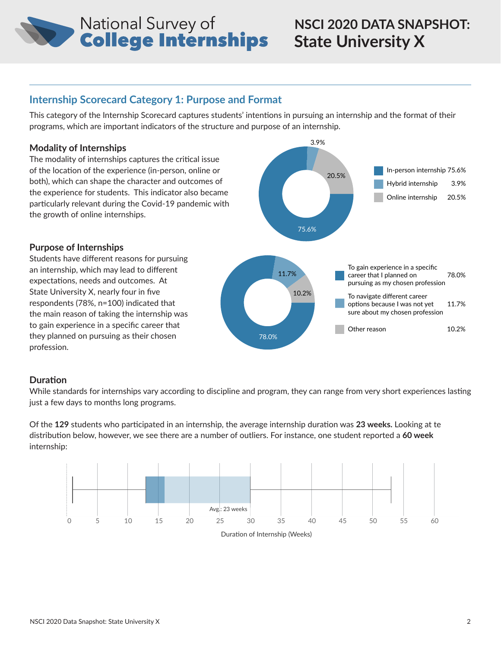# **National Survey of<br>College Internships**

# **NSCI 2020 DATA SNAPSHOT: State University X**

Other reason 10.2%

## **Internship Scorecard Category 1: Purpose and Format**

This category of the Internship Scorecard captures students' intentions in pursuing an internship and the format of their programs, which are important indicators of the structure and purpose of an internship.

#### **Modality of Internships**

The modality of internships captures the critical issue of the location of the experience (in-person, online or both), which can shape the character and outcomes of the experience for students. This indicator also became particularly relevant during the Covid-19 pandemic with the growth of online internships.



3.9%

#### **Purpose of Internships**

Students have different reasons for pursuing an internship, which may lead to different expectations, needs and outcomes. At State University X, nearly four in five respondents (78%, n=100) indicated that the main reason of taking the internship was to gain experience in a specific career that they planned on pursuing as their chosen profession.

#### **Duration**

While standards for internships vary according to discipline and program, they can range from very short experiences lasting just a few days to months long programs.

78.0%

Of the **129** students who participated in an internship, the average internship duration was **23 weeks.** Looking at te distribution below, however, we see there are a number of outliers. For instance, one student reported a **60 week**  internship:



Duration of Internship (Weeks)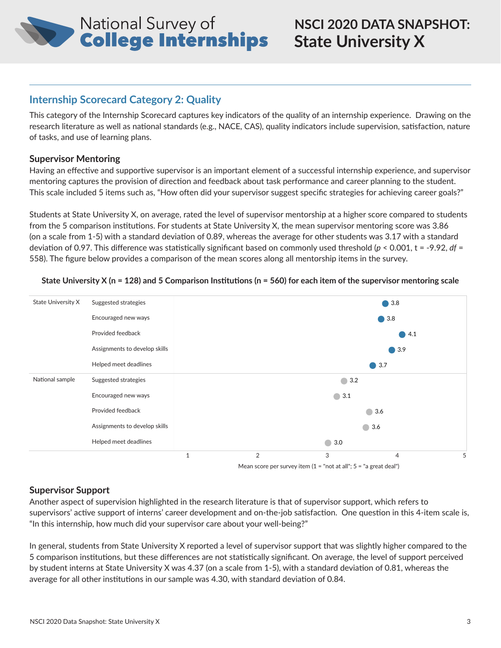

## **Internship Scorecard Category 2: Quality**

This category of the Internship Scorecard captures key indicators of the quality of an internship experience. Drawing on the research literature as well as national standards (e.g., NACE, CAS), quality indicators include supervision, satisfaction, nature of tasks, and use of learning plans.

#### **Supervisor Mentoring**

Having an effective and supportive supervisor is an important element of a successful internship experience, and supervisor mentoring captures the provision of direction and feedback about task performance and career planning to the student. This scale included 5 items such as, "How often did your supervisor suggest specific strategies for achieving career goals?"

Students at State University X, on average, rated the level of supervisor mentorship at a higher score compared to students from the 5 comparison institutions. For students at State University X, the mean supervisor mentoring score was 3.86 (on a scale from 1-5) with a standard deviation of 0.89, whereas the average for other students was 3.17 with a standard deviation of 0.97. This difference was statistically significant based on commonly used threshold (*p* < 0.001, t = -9.92, *df* = 558). The figure below provides a comparison of the mean scores along all mentorship items in the survey.



#### **State University X (n = 128) and 5 Comparison Institutions (n = 560) for each item of the supervisor mentoring scale**

#### **Supervisor Support**

Another aspect of supervision highlighted in the research literature is that of supervisor support, which refers to supervisors' active support of interns' career development and on-the-job satisfaction. One question in this 4-item scale is, "In this internship, how much did your supervisor care about your well-being?"

In general, students from State University X reported a level of supervisor support that was slightly higher compared to the 5 comparison institutions, but these differences are not statistically significant. On average, the level of support perceived by student interns at State University X was 4.37 (on a scale from 1-5), with a standard deviation of 0.81, whereas the average for all other institutions in our sample was 4.30, with standard deviation of 0.84.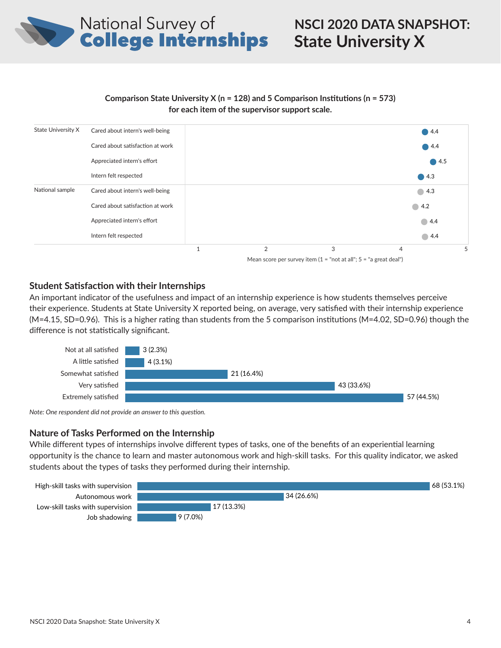

#### **Comparison State University X (n = 128) and 5 Comparison Institutions (n = 573) for each item of the supervisor support scale.**



#### **Student Satisfaction with their Internships**

An important indicator of the usefulness and impact of an internship experience is how students themselves perceive their experience. Students at State University X reported being, on average, very satisfied with their internship experience (M=4.15, SD=0.96). This is a higher rating than students from the 5 comparison institutions (M=4.02, SD=0.96) though the difference is not statistically significant.



*Note: One respondent did not provide an answer to this question.*

#### **Nature of Tasks Performed on the Internship**

While different types of internships involve different types of tasks, one of the benefits of an experiential learning opportunity is the chance to learn and master autonomous work and high-skill tasks. For this quality indicator, we asked students about the types of tasks they performed during their internship.

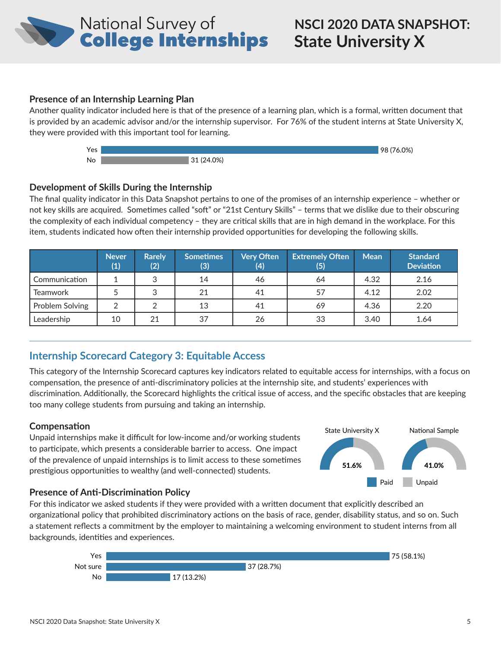

#### **Presence of an Internship Learning Plan**

Another quality indicator included here is that of the presence of a learning plan, which is a formal, written document that is provided by an academic advisor and/or the internship supervisor. For 76% of the student interns at State University X, they were provided with this important tool for learning.



#### **Development of Skills During the Internship**

The final quality indicator in this Data Snapshot pertains to one of the promises of an internship experience – whether or not key skills are acquired. Sometimes called "soft" or "21st Century Skills" – terms that we dislike due to their obscuring the complexity of each individual competency – they are critical skills that are in high demand in the workplace. For this item, students indicated how often their internship provided opportunities for developing the following skills.

|                 | <b>Never</b><br>(1) | <b>Rarely</b><br>(2) | <b>Sometimes</b><br>(3) | <b>Very Often</b><br>(4) | <b>Extremely Often</b><br>(5) | <b>Mean</b> | <b>Standard</b><br><b>Deviation</b> |
|-----------------|---------------------|----------------------|-------------------------|--------------------------|-------------------------------|-------------|-------------------------------------|
| Communication   |                     | 3                    | 14                      | 46                       | 64                            | 4.32        | 2.16                                |
| <b>Teamwork</b> |                     | 3                    | 21                      | 41                       | 57                            | 4.12        | 2.02                                |
| Problem Solving | ⌒                   |                      | 13                      | 41                       | 69                            | 4.36        | 2.20                                |
| Leadership      | 10                  | 21                   | 37                      | 26                       | 33                            | 3.40        | 1.64                                |

### **Internship Scorecard Category 3: Equitable Access**

This category of the Internship Scorecard captures key indicators related to equitable access for internships, with a focus on compensation, the presence of anti-discriminatory policies at the internship site, and students' experiences with discrimination. Additionally, the Scorecard highlights the critical issue of access, and the specific obstacles that are keeping too many college students from pursuing and taking an internship.

#### **Compensation**

Unpaid internships make it difficult for low-income and/or working students to participate, which presents a considerable barrier to access. One impact of the prevalence of unpaid internships is to limit access to these sometimes prestigious opportunities to wealthy (and well-connected) students.







Paid Unpaid

41.0%

State University X National Sample

51.6%